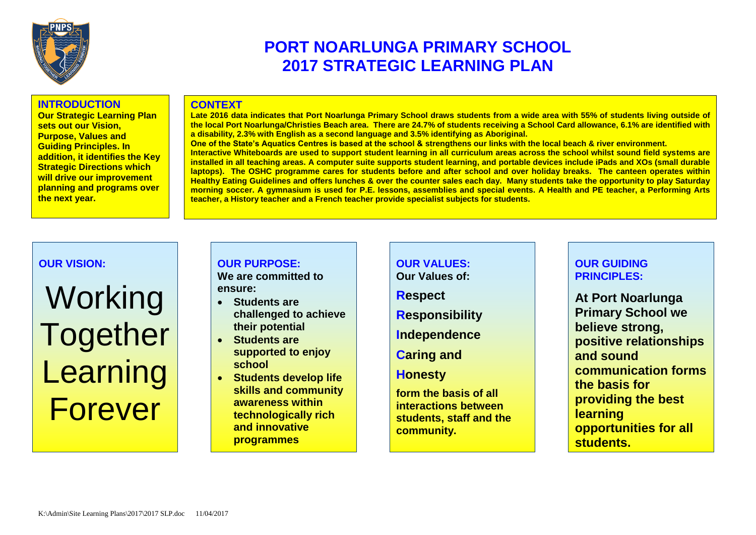

# **PORT NOARLUNGA PRIMARY SCHOOL 2017 STRATEGIC LEARNING PLAN**

#### **INTRODUCTION**

**Our Strategic Learning Plan sets out our Vision, Purpose, Values and Guiding Principles. In addition, it identifies the Key Strategic Directions which will drive our improvement planning and programs over the next year.**

#### **CONTEXT**

**Late 2016 data indicates that Port Noarlunga Primary School draws students from a wide area with 55% of students living outside of the local Port Noarlunga/Christies Beach area. There are 24.7% of students receiving a School Card allowance, 6.1% are identified with a disability, 2.3% with English as a second language and 3.5% identifying as Aboriginal.**

**One of the State's Aquatics Centres is based at the school & strengthens our links with the local beach & river environment. Interactive Whiteboards are used to support student learning in all curriculum areas across the school whilst sound field systems are installed in all teaching areas. A computer suite supports student learning, and portable devices include iPads and XOs (small durable laptops). The OSHC programme cares for students before and after school and over holiday breaks. The canteen operates within Healthy Eating Guidelines and offers lunches & over the counter sales each day. Many students take the opportunity to play Saturday morning soccer. A gymnasium is used for P.E. lessons, assemblies and special events. A Health and PE teacher, a Performing Arts teacher, a History teacher and a French teacher provide specialist subjects for students.** 

#### **OUR VISION:**

# Working **Together Learning** Forever

## **OUR PURPOSE:**

**We are committed to ensure:**

- **Students are challenged to achieve their potential**
- **Students are supported to enjoy school**
- **Students develop life skills and community awareness within technologically rich and innovative programmes**

**OUR VALUES: Our Values of: Respect Responsibility Independence Caring and Honesty form the basis of all interactions between** 

**students, staff and the** 

**community.**

.

### **OUR GUIDING PRINCIPLES:**

**At Port Noarlunga Primary School we believe strong, positive relationships and sound communication forms the basis for providing the best learning opportunities for all students.**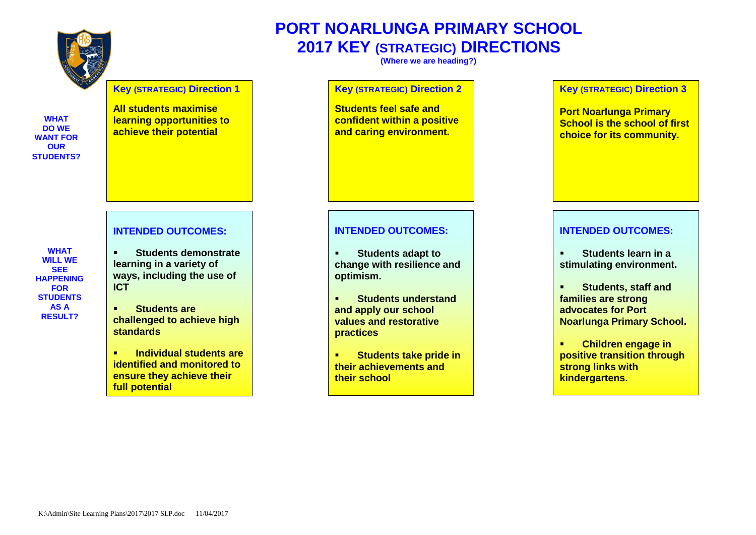

#### **Key (STRATEGIC) Direction 1**

**WHAT DO WE WANT FOR OUR STUDENTS?**

**WHAT WILL WE SEE HAPPENING FOR STUDENTS AS A RESULT?**

**All students maximise learning opportunities to achieve their potential**

#### **INTENDED OUTCOMES:**

- **Students demonstrate learning in a variety of ways, including the use of ICT**
- **Students are challenged to achieve high standards**
- **Individual students are identified and monitored to ensure they achieve their full potential**

## **PORT NOARLUNGA PRIMARY SCHOOL 2017 KEY (STRATEGIC) DIRECTIONS**

**(Where we are heading?)**

#### **Key (STRATEGIC) Direction 2**

**Students feel safe and confident within a positive and caring environment.**

#### **INTENDED OUTCOMES:**

- **Students adapt to change with resilience and optimism.**
- **Students understand and apply our school values and restorative practices**
- **Students take pride in their achievements and their school**

#### **Key (STRATEGIC) Direction 3**

**Port Noarlunga Primary School is the school of first choice for its community.**

#### **INTENDED OUTCOMES:**

- **Students learn in a stimulating environment.**
- **Students, staff and families are strong advocates for Port Noarlunga Primary School.**
- **Children engage in positive transition through strong links with kindergartens.**